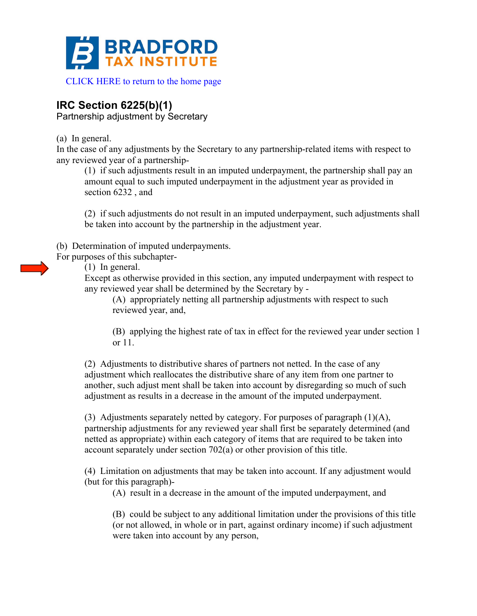

[CLICK HERE to return to the home page](http://www.bradfordtaxinstitute.com) 

## **IRC Section 6225(b)(1)**

Partnership adjustment by Secretary

(a) In general.

In the case of any adjustments by the Secretary to any partnership-related items with respect to any reviewed year of a partnership-

(1) if such adjustments result in an imputed underpayment, the partnership shall pay an amount equal to such imputed underpayment in the adjustment year as provided in section 6232 , and

(2) if such adjustments do not result in an imputed underpayment, such adjustments shall be taken into account by the partnership in the adjustment year.

(b) Determination of imputed underpayments.

For purposes of this subchapter-

(1) In general.

Except as otherwise provided in this section, any imputed underpayment with respect to any reviewed year shall be determined by the Secretary by -

(A) appropriately netting all partnership adjustments with respect to such reviewed year, and,

(B) applying the highest rate of tax in effect for the reviewed year under section 1 or 11.

(2) Adjustments to distributive shares of partners not netted. In the case of any adjustment which reallocates the distributive share of any item from one partner to another, such adjust ment shall be taken into account by disregarding so much of such adjustment as results in a decrease in the amount of the imputed underpayment.

(3) Adjustments separately netted by category. For purposes of paragraph (1)(A), partnership adjustments for any reviewed year shall first be separately determined (and netted as appropriate) within each category of items that are required to be taken into account separately under section 702(a) or other provision of this title.

(4) Limitation on adjustments that may be taken into account. If any adjustment would (but for this paragraph)-

(A) result in a decrease in the amount of the imputed underpayment, and

(B) could be subject to any additional limitation under the provisions of this title (or not allowed, in whole or in part, against ordinary income) if such adjustment were taken into account by any person,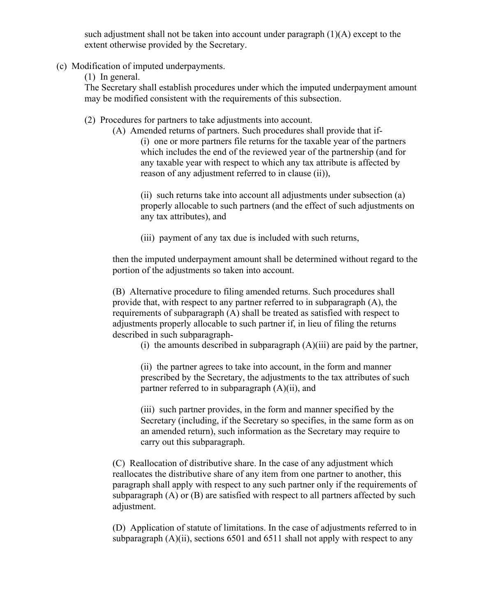such adjustment shall not be taken into account under paragraph (1)(A) except to the extent otherwise provided by the Secretary.

- (c) Modification of imputed underpayments.
	- (1) In general.

The Secretary shall establish procedures under which the imputed underpayment amount may be modified consistent with the requirements of this subsection.

- (2) Procedures for partners to take adjustments into account.
	- (A) Amended returns of partners. Such procedures shall provide that if- (i) one or more partners file returns for the taxable year of the partners which includes the end of the reviewed year of the partnership (and for any taxable year with respect to which any tax attribute is affected by reason of any adjustment referred to in clause (ii)),

(ii) such returns take into account all adjustments under subsection (a) properly allocable to such partners (and the effect of such adjustments on any tax attributes), and

(iii) payment of any tax due is included with such returns,

then the imputed underpayment amount shall be determined without regard to the portion of the adjustments so taken into account.

(B) Alternative procedure to filing amended returns. Such procedures shall provide that, with respect to any partner referred to in subparagraph (A), the requirements of subparagraph (A) shall be treated as satisfied with respect to adjustments properly allocable to such partner if, in lieu of filing the returns described in such subparagraph-

(i) the amounts described in subparagraph  $(A)(iii)$  are paid by the partner,

(ii) the partner agrees to take into account, in the form and manner prescribed by the Secretary, the adjustments to the tax attributes of such partner referred to in subparagraph (A)(ii), and

(iii) such partner provides, in the form and manner specified by the Secretary (including, if the Secretary so specifies, in the same form as on an amended return), such information as the Secretary may require to carry out this subparagraph.

(C) Reallocation of distributive share. In the case of any adjustment which reallocates the distributive share of any item from one partner to another, this paragraph shall apply with respect to any such partner only if the requirements of subparagraph (A) or (B) are satisfied with respect to all partners affected by such adjustment.

(D) Application of statute of limitations. In the case of adjustments referred to in subparagraph  $(A)(ii)$ , sections 6501 and 6511 shall not apply with respect to any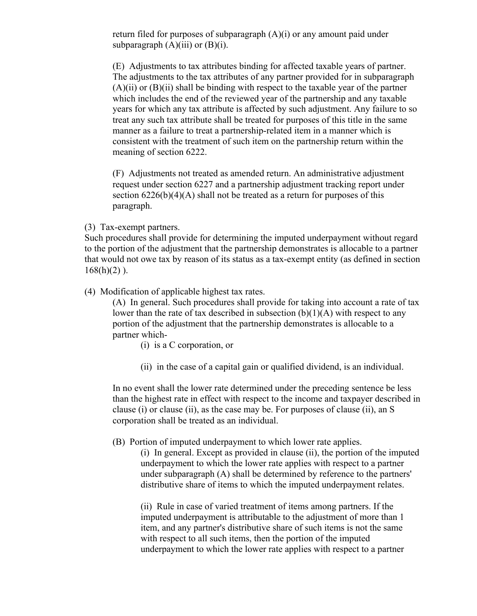return filed for purposes of subparagraph  $(A)(i)$  or any amount paid under subparagraph  $(A)(iii)$  or  $(B)(i)$ .

(E) Adjustments to tax attributes binding for affected taxable years of partner. The adjustments to the tax attributes of any partner provided for in subparagraph  $(A)(ii)$  or  $(B)(ii)$  shall be binding with respect to the taxable year of the partner which includes the end of the reviewed year of the partnership and any taxable years for which any tax attribute is affected by such adjustment. Any failure to so treat any such tax attribute shall be treated for purposes of this title in the same manner as a failure to treat a partnership-related item in a manner which is consistent with the treatment of such item on the partnership return within the meaning of section 6222.

(F) Adjustments not treated as amended return. An administrative adjustment request under section 6227 and a partnership adjustment tracking report under section  $6226(b)(4)(A)$  shall not be treated as a return for purposes of this paragraph.

(3) Tax-exempt partners.

Such procedures shall provide for determining the imputed underpayment without regard to the portion of the adjustment that the partnership demonstrates is allocable to a partner that would not owe tax by reason of its status as a tax-exempt entity (as defined in section  $168(h)(2)$ ).

(4) Modification of applicable highest tax rates.

(A) In general. Such procedures shall provide for taking into account a rate of tax lower than the rate of tax described in subsection  $(b)(1)(A)$  with respect to any portion of the adjustment that the partnership demonstrates is allocable to a partner which-

- (i) is a C corporation, or
- (ii) in the case of a capital gain or qualified dividend, is an individual.

In no event shall the lower rate determined under the preceding sentence be less than the highest rate in effect with respect to the income and taxpayer described in clause (i) or clause (ii), as the case may be. For purposes of clause (ii), an S corporation shall be treated as an individual.

(B) Portion of imputed underpayment to which lower rate applies.

(i) In general. Except as provided in clause (ii), the portion of the imputed underpayment to which the lower rate applies with respect to a partner under subparagraph (A) shall be determined by reference to the partners' distributive share of items to which the imputed underpayment relates.

(ii) Rule in case of varied treatment of items among partners. If the imputed underpayment is attributable to the adjustment of more than 1 item, and any partner's distributive share of such items is not the same with respect to all such items, then the portion of the imputed underpayment to which the lower rate applies with respect to a partner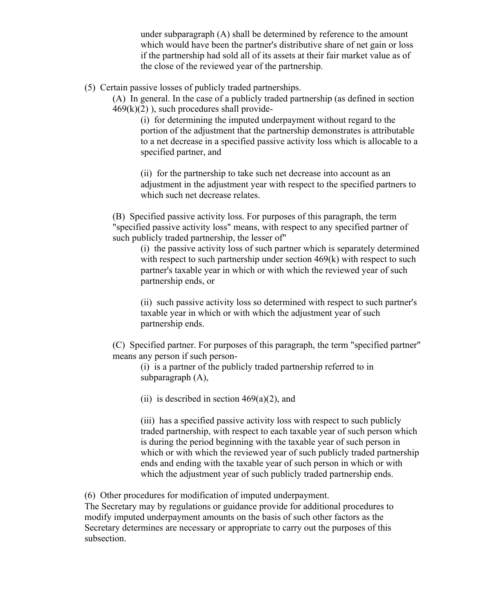under subparagraph (A) shall be determined by reference to the amount which would have been the partner's distributive share of net gain or loss if the partnership had sold all of its assets at their fair market value as of the close of the reviewed year of the partnership.

## (5) Certain passive losses of publicly traded partnerships.

(A) In general. In the case of a publicly traded partnership (as defined in section  $469(k)(2)$ , such procedures shall provide-

(i) for determining the imputed underpayment without regard to the portion of the adjustment that the partnership demonstrates is attributable to a net decrease in a specified passive activity loss which is allocable to a specified partner, and

(ii) for the partnership to take such net decrease into account as an adjustment in the adjustment year with respect to the specified partners to which such net decrease relates.

(B) Specified passive activity loss. For purposes of this paragraph, the term "specified passive activity loss" means, with respect to any specified partner of such publicly traded partnership, the lesser of"

(i) the passive activity loss of such partner which is separately determined with respect to such partnership under section 469(k) with respect to such partner's taxable year in which or with which the reviewed year of such partnership ends, or

(ii) such passive activity loss so determined with respect to such partner's taxable year in which or with which the adjustment year of such partnership ends.

(C) Specified partner. For purposes of this paragraph, the term "specified partner" means any person if such person-

(i) is a partner of the publicly traded partnership referred to in subparagraph (A),

(ii) is described in section  $469(a)(2)$ , and

(iii) has a specified passive activity loss with respect to such publicly traded partnership, with respect to each taxable year of such person which is during the period beginning with the taxable year of such person in which or with which the reviewed year of such publicly traded partnership ends and ending with the taxable year of such person in which or with which the adjustment year of such publicly traded partnership ends.

(6) Other procedures for modification of imputed underpayment.

The Secretary may by regulations or guidance provide for additional procedures to modify imputed underpayment amounts on the basis of such other factors as the Secretary determines are necessary or appropriate to carry out the purposes of this subsection.